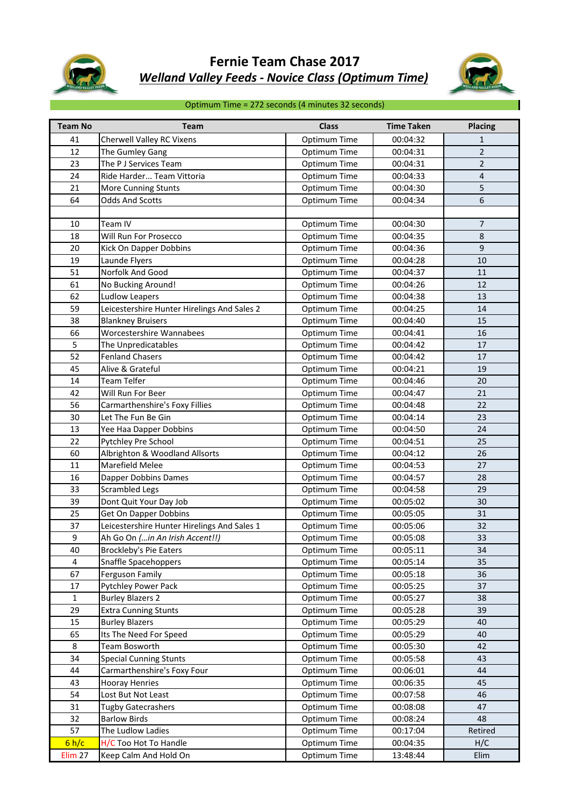



#### Optimum Time = 272 seconds (4 minutes 32 seconds)

| <b>Team No</b> | <b>Team</b>                                 | <b>Class</b> | <b>Time Taken</b> | <b>Placing</b> |
|----------------|---------------------------------------------|--------------|-------------------|----------------|
| 41             | Cherwell Valley RC Vixens                   | Optimum Time | 00:04:32          | $\mathbf{1}$   |
| 12             | The Gumley Gang                             | Optimum Time | 00:04:31          | $\overline{2}$ |
| 23             | The P J Services Team                       | Optimum Time | 00:04:31          | $\overline{2}$ |
| 24             | Ride Harder Team Vittoria                   | Optimum Time | 00:04:33          | $\overline{4}$ |
| 21             | More Cunning Stunts                         | Optimum Time | 00:04:30          | 5              |
| 64             | <b>Odds And Scotts</b>                      | Optimum Time | 00:04:34          | 6              |
|                |                                             |              |                   |                |
| 10             | Team IV                                     | Optimum Time | 00:04:30          | $\overline{7}$ |
| 18             | Will Run For Prosecco                       | Optimum Time | 00:04:35          | 8              |
| 20             | Kick On Dapper Dobbins                      | Optimum Time | 00:04:36          | 9              |
| 19             | Launde Flyers                               | Optimum Time | 00:04:28          | 10             |
| 51             | Norfolk And Good                            | Optimum Time | 00:04:37          | 11             |
| 61             | No Bucking Around!                          | Optimum Time | 00:04:26          | 12             |
| 62             | <b>Ludlow Leapers</b>                       | Optimum Time | 00:04:38          | 13             |
| 59             | Leicestershire Hunter Hirelings And Sales 2 | Optimum Time | 00:04:25          | 14             |
| 38             | <b>Blankney Bruisers</b>                    | Optimum Time | 00:04:40          | 15             |
| 66             | Worcestershire Wannabees                    | Optimum Time | 00:04:41          | 16             |
| 5              | The Unpredicatables                         | Optimum Time | 00:04:42          | 17             |
| 52             | <b>Fenland Chasers</b>                      | Optimum Time | 00:04:42          | 17             |
| 45             | Alive & Grateful                            | Optimum Time | 00:04:21          | 19             |
| 14             | <b>Team Telfer</b>                          | Optimum Time | 00:04:46          | 20             |
| 42             | Will Run For Beer                           | Optimum Time | 00:04:47          | 21             |
| 56             | Carmarthenshire's Foxy Fillies              | Optimum Time | 00:04:48          | 22             |
| 30             | Let The Fun Be Gin                          | Optimum Time | 00:04:14          | 23             |
| 13             | Yee Haa Dapper Dobbins                      | Optimum Time | 00:04:50          | 24             |
| 22             | Pytchley Pre School                         | Optimum Time | 00:04:51          | 25             |
| 60             | Albrighton & Woodland Allsorts              | Optimum Time | 00:04:12          | 26             |
| 11             | Marefield Melee                             | Optimum Time | 00:04:53          | 27             |
| 16             | Dapper Dobbins Dames                        | Optimum Time | 00:04:57          | 28             |
| 33             | <b>Scrambled Legs</b>                       | Optimum Time | 00:04:58          | 29             |
| 39             | Dont Quit Your Day Job                      | Optimum Time | 00:05:02          | 30             |
| 25             | Get On Dapper Dobbins                       | Optimum Time | 00:05:05          | 31             |
| 37             | Leicestershire Hunter Hirelings And Sales 1 | Optimum Time | 00:05:06          | 32             |
| 9              | Ah Go On (in An Irish Accent!!)             | Optimum Time | 00:05:08          | 33             |
| 40             | Brockleby's Pie Eaters                      | Optimum Time | 00:05:11          | 34             |
| 4              | Snaffle Spacehoppers                        | Optimum Time | 00:05:14          | 35             |
| 67             | Ferguson Family                             | Optimum Time | 00:05:18          | 36             |
| 17             | Pytchley Power Pack                         | Optimum Time | 00:05:25          | 37             |
| $\mathbf 1$    | <b>Burley Blazers 2</b>                     | Optimum Time | 00:05:27          | 38             |
| 29             | <b>Extra Cunning Stunts</b>                 | Optimum Time | 00:05:28          | 39             |
| 15             | <b>Burley Blazers</b>                       | Optimum Time | 00:05:29          | 40             |
| 65             | Its The Need For Speed                      | Optimum Time | 00:05:29          | 40             |
| 8              | Team Bosworth                               | Optimum Time | 00:05:30          | 42             |
| 34             | <b>Special Cunning Stunts</b>               | Optimum Time | 00:05:58          | 43             |
| 44             | Carmarthenshire's Foxy Four                 | Optimum Time | 00:06:01          | 44             |
| 43             | <b>Hooray Henries</b>                       | Optimum Time | 00:06:35          | 45             |
| 54             | Lost But Not Least                          | Optimum Time | 00:07:58          | 46             |
| 31             | <b>Tugby Gatecrashers</b>                   | Optimum Time | 00:08:08          | 47             |
| 32             | <b>Barlow Birds</b>                         | Optimum Time | 00:08:24          | 48             |
| 57             | The Ludlow Ladies                           | Optimum Time | 00:17:04          | Retired        |
| 6 h/c          | H/C Too Hot To Handle                       | Optimum Time | 00:04:35          | H/C            |
| Elim 27        | Keep Calm And Hold On                       | Optimum Time | 13:48:44          | Elim           |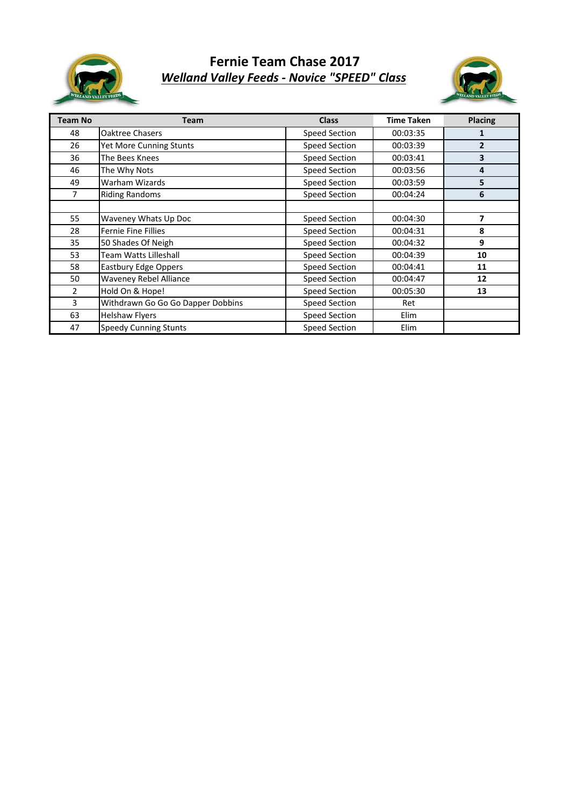

### **Fernie Team Chase 2017** *Welland Valley Feeds - Novice "SPEED" Class*



| <b>Team No</b> | Team                              | <b>Class</b>         | <b>Time Taken</b> | <b>Placing</b> |
|----------------|-----------------------------------|----------------------|-------------------|----------------|
| 48             | Oaktree Chasers                   | <b>Speed Section</b> | 00:03:35          |                |
| 26             | <b>Yet More Cunning Stunts</b>    | <b>Speed Section</b> | 00:03:39          | $\overline{2}$ |
| 36             | The Bees Knees                    | Speed Section        | 00:03:41          | 3              |
| 46             | The Why Nots                      | <b>Speed Section</b> | 00:03:56          | 4              |
| 49             | Warham Wizards                    | <b>Speed Section</b> | 00:03:59          | 5              |
| 7              | <b>Riding Randoms</b>             | <b>Speed Section</b> | 00:04:24          | 6              |
|                |                                   |                      |                   |                |
| 55             | Waveney Whats Up Doc              | <b>Speed Section</b> | 00:04:30          | 7              |
| 28             | Fernie Fine Fillies               | <b>Speed Section</b> | 00:04:31          | 8              |
| 35             | 50 Shades Of Neigh                | <b>Speed Section</b> | 00:04:32          | 9              |
| 53             | <b>Team Watts Lilleshall</b>      | <b>Speed Section</b> | 00:04:39          | 10             |
| 58             | <b>Eastbury Edge Oppers</b>       | <b>Speed Section</b> | 00:04:41          | 11             |
| 50             | Waveney Rebel Alliance            | Speed Section        | 00:04:47          | 12             |
| 2              | Hold On & Hope!                   | Speed Section        | 00:05:30          | 13             |
| 3              | Withdrawn Go Go Go Dapper Dobbins | Speed Section        | Ret               |                |
| 63             | <b>Helshaw Flyers</b>             | Speed Section        | Elim              |                |
| 47             | <b>Speedy Cunning Stunts</b>      | <b>Speed Section</b> | <b>Elim</b>       |                |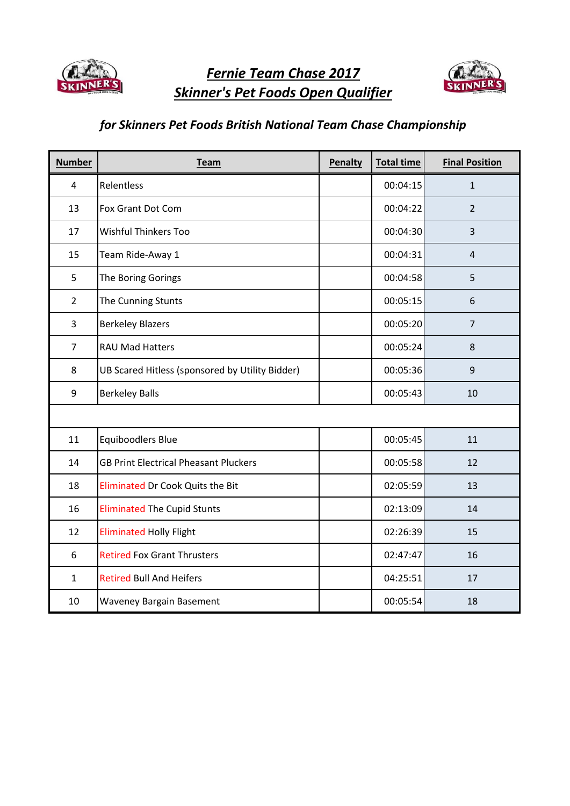

*Fernie Team Chase 2017 Skinner's Pet Foods Open Qualifier*



## *for Skinners Pet Foods British National Team Chase Championship*

| <b>Number</b>  | <b>Team</b>                                     | Penalty | <b>Total time</b> | <b>Final Position</b> |  |  |
|----------------|-------------------------------------------------|---------|-------------------|-----------------------|--|--|
| $\overline{4}$ | Relentless                                      |         | 00:04:15          | $\mathbf{1}$          |  |  |
| 13             | Fox Grant Dot Com                               |         | 00:04:22          | $\overline{2}$        |  |  |
| 17             | Wishful Thinkers Too                            |         | 00:04:30          | 3                     |  |  |
| 15             | Team Ride-Away 1                                |         | 00:04:31          | $\overline{4}$        |  |  |
| 5              | The Boring Gorings                              |         | 00:04:58          | 5                     |  |  |
| $\overline{2}$ | The Cunning Stunts                              |         | 00:05:15          | 6                     |  |  |
| $\overline{3}$ | <b>Berkeley Blazers</b>                         |         | 00:05:20          | $\overline{7}$        |  |  |
| $\overline{7}$ | <b>RAU Mad Hatters</b>                          |         | 00:05:24          | 8                     |  |  |
| 8              | UB Scared Hitless (sponsored by Utility Bidder) |         | 00:05:36          | 9                     |  |  |
| 9              | <b>Berkeley Balls</b>                           |         | 00:05:43          | 10                    |  |  |
|                |                                                 |         |                   |                       |  |  |
| 11             | Equiboodlers Blue                               |         | 00:05:45          | 11                    |  |  |
| 14             | <b>GB Print Electrical Pheasant Pluckers</b>    |         | 00:05:58          | 12                    |  |  |
| 18             | Eliminated Dr Cook Quits the Bit                |         | 02:05:59          | 13                    |  |  |
| 16             | <b>Eliminated The Cupid Stunts</b>              |         | 02:13:09          | 14                    |  |  |
| 12             | <b>Eliminated Holly Flight</b>                  |         | 02:26:39          | 15                    |  |  |
| 6              | <b>Retired Fox Grant Thrusters</b>              |         | 02:47:47          | 16                    |  |  |
| $\mathbf{1}$   | <b>Retired Bull And Heifers</b>                 |         | 04:25:51          | 17                    |  |  |
| 10             | <b>Waveney Bargain Basement</b>                 |         | 00:05:54          | 18                    |  |  |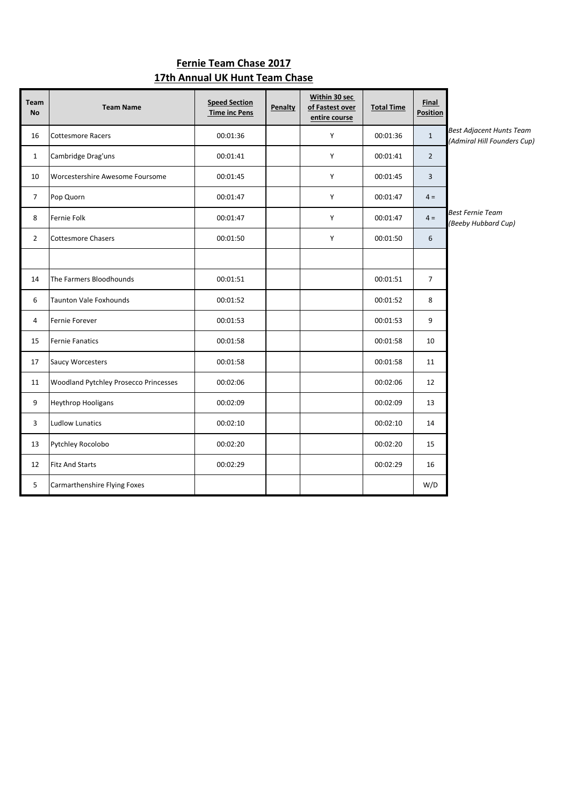#### **Fernie Team Chase 2017 17th Annual UK Hunt Team Chase**

| Team<br><b>No</b> | <b>Team Name</b>                             | <b>Speed Section</b><br><b>Time inc Pens</b> | Penalty | Within 30 sec<br>of Fastest over<br>entire course | <b>Total Time</b> | Final<br>Position |                                                                |
|-------------------|----------------------------------------------|----------------------------------------------|---------|---------------------------------------------------|-------------------|-------------------|----------------------------------------------------------------|
| 16                | <b>Cottesmore Racers</b>                     | 00:01:36                                     |         | Υ                                                 | 00:01:36          | $\mathbf{1}$      | <b>Best Adjacent Hunts Team</b><br>(Admiral Hill Founders Cup) |
| $\mathbf{1}$      | Cambridge Drag'uns                           | 00:01:41                                     |         | Υ                                                 | 00:01:41          | $\overline{2}$    |                                                                |
| 10                | Worcestershire Awesome Foursome              | 00:01:45                                     |         | Υ                                                 | 00:01:45          | 3                 |                                                                |
| $\overline{7}$    | Pop Quorn                                    | 00:01:47                                     |         | Υ                                                 | 00:01:47          | $4 =$             |                                                                |
| 8                 | Fernie Folk                                  | 00:01:47                                     |         | Υ                                                 | 00:01:47          | $4 =$             | <b>Best Fernie Team</b><br>(Beeby Hubbard Cup)                 |
| $\overline{2}$    | <b>Cottesmore Chasers</b>                    | 00:01:50                                     |         | Υ                                                 | 00:01:50          | 6                 |                                                                |
|                   |                                              |                                              |         |                                                   |                   |                   |                                                                |
| 14                | The Farmers Bloodhounds                      | 00:01:51                                     |         |                                                   | 00:01:51          | $\overline{7}$    |                                                                |
| 6                 | <b>Taunton Vale Foxhounds</b>                | 00:01:52                                     |         |                                                   | 00:01:52          | 8                 |                                                                |
| 4                 | Fernie Forever                               | 00:01:53                                     |         |                                                   | 00:01:53          | 9                 |                                                                |
| 15                | <b>Fernie Fanatics</b>                       | 00:01:58                                     |         |                                                   | 00:01:58          | 10                |                                                                |
| 17                | Saucy Worcesters                             | 00:01:58                                     |         |                                                   | 00:01:58          | 11                |                                                                |
| 11                | <b>Woodland Pytchley Prosecco Princesses</b> | 00:02:06                                     |         |                                                   | 00:02:06          | 12                |                                                                |
| 9                 | <b>Heythrop Hooligans</b>                    | 00:02:09                                     |         |                                                   | 00:02:09          | 13                |                                                                |
| 3                 | <b>Ludlow Lunatics</b>                       | 00:02:10                                     |         |                                                   | 00:02:10          | 14                |                                                                |
| 13                | Pytchley Rocolobo                            | 00:02:20                                     |         |                                                   | 00:02:20          | 15                |                                                                |
| 12                | <b>Fitz And Starts</b>                       | 00:02:29                                     |         |                                                   | 00:02:29          | 16                |                                                                |
| 5                 | Carmarthenshire Flying Foxes                 |                                              |         |                                                   |                   | W/D               |                                                                |